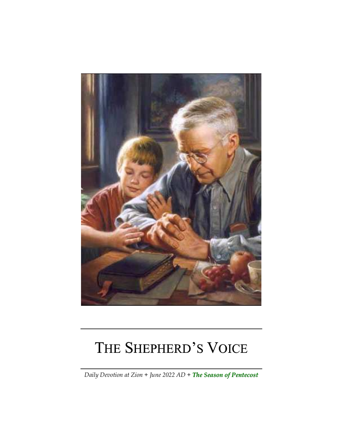

# THE SHEPHERD'S VOICE

*Daily Devotion at Zion + June 2022 AD + The Season of Pentecost*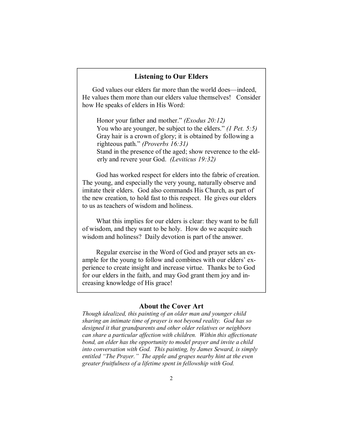#### **Listening to Our Elders**

God values our elders far more than the world does—indeed, He values them more than our elders value themselves! Consider how He speaks of elders in His Word:

Honor your father and mother." *(Exodus 20:12)*  You who are younger, be subject to the elders." *(1 Pet. 5:5)* Gray hair is a crown of glory; it is obtained by following a righteous path." *(Proverbs 16:31)*  Stand in the presence of the aged; show reverence to the elderly and revere your God. *(Leviticus 19:32)* 

God has worked respect for elders into the fabric of creation. The young, and especially the very young, naturally observe and imitate their elders. God also commands His Church, as part of the new creation, to hold fast to this respect. He gives our elders to us as teachers of wisdom and holiness.

What this implies for our elders is clear: they want to be full of wisdom, and they want to be holy. How do we acquire such wisdom and holiness? Daily devotion is part of the answer.

Regular exercise in the Word of God and prayer sets an example for the young to follow and combines with our elders' experience to create insight and increase virtue. Thanks be to God for our elders in the faith, and may God grant them joy and increasing knowledge of His grace!

#### **About the Cover Art**

*Though idealized, this painting of an older man and younger child sharing an intimate time of prayer is not beyond reality. God has so designed it that grandparents and other older relatives or neighbors can share a particular affection with children. Within this affectionate bond, an elder has the opportunity to model prayer and invite a child into conversation with God. This painting, by James Seward, is simply entitled "The Prayer." The apple and grapes nearby hint at the even greater fruitfulness of a lifetime spent in fellowship with God.*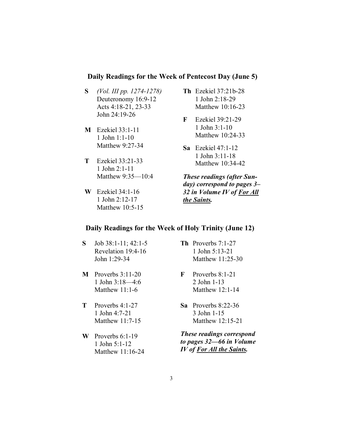## **Daily Readings for the Week of Pentecost Day (June 5)**

- **S** *(Vol. III pp. 1274-1278)* Deuteronomy 16:9-12 Acts 4:18-21, 23-33 John 24:19-26
- **M** Ezekiel 33:1-11 1 John 1:1-10 Matthew 9:27-34
- **T** Ezekiel 33:21-33 1 John 2:1-11 Matthew 9:35—10:4
- **W** Ezekiel 34:1-16 1 John 2:12-17 Matthew 10:5-15
- **Th** Ezekiel 37:21b-28 1 John 2:18-29 Matthew 10:16-23
- **F** Ezekiel 39:21-29 1 John 3:1-10 Matthew 10:24-33
- **Sa** Ezekiel 47:1-12 1 John 3:11-18 Matthew 10:34-42

*These readings (after Sunday) correspond to pages 3– 32 in Volume IV of For All the Saints.* 

# **Daily Readings for the Week of Holy Trinity (June 12)**

- **S** Job 38:1-11; 42:1-5 Revelation 19:4-16 John 1:29-34
- **M** Proverbs 3:11-20 1 John 3:18—4:6 Matthew 11:1-6
- **T** Proverbs 4:1-27 1 John 4:7-21 Matthew 11:7-15
- **W** Proverbs 6:1-19 1 John 5:1-12 Matthew 11:16-24
- **Th** Proverbs 7:1-27 1 John 5:13-21 Matthew 11:25-30
- **F** Proverbs 8:1-21 2 John 1-13 Matthew 12:1-14
- **Sa** Proverbs 8:22-36 3 John 1-15 Matthew 12:15-21

*These readings correspond to pages 32—66 in Volume IV of For All the Saints.*